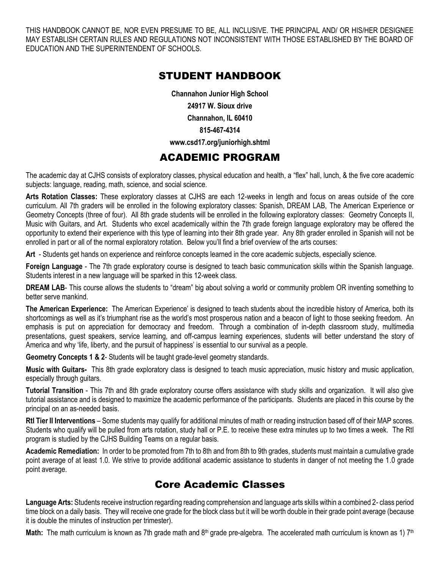THIS HANDBOOK CANNOT BE, NOR EVEN PRESUME TO BE, ALL INCLUSIVE. THE PRINCIPAL AND/ OR HIS/HER DESIGNEE MAY ESTABLISH CERTAIN RULES AND REGULATIONS NOT INCONSISTENT WITH THOSE ESTABLISHED BY THE BOARD OF EDUCATION AND THE SUPERINTENDENT OF SCHOOLS.

### STUDENT HANDBOOK

**Channahon Junior High School 24917 W. Sioux drive Channahon, IL 60410 815-467-4314**

### **www.csd17.org/juniorhigh.shtml**

## ACADEMIC PROGRAM

The academic day at CJHS consists of exploratory classes, physical education and health, a "flex" hall, lunch, & the five core academic subjects: language, reading, math, science, and social science.

**Arts Rotation Classes:** These exploratory classes at CJHS are each 12-weeks in length and focus on areas outside of the core curriculum. All 7th graders will be enrolled in the following exploratory classes: Spanish, DREAM LAB, The American Experience or Geometry Concepts (three of four). All 8th grade students will be enrolled in the following exploratory classes: Geometry Concepts II, Music with Guitars, and Art. Students who excel academically within the 7th grade foreign language exploratory may be offered the opportunity to extend their experience with this type of learning into their 8th grade year. Any 8th grader enrolled in Spanish will not be enrolled in part or all of the normal exploratory rotation. Below you'll find a brief overview of the arts courses:

**Art** - Students get hands on experience and reinforce concepts learned in the core academic subjects, especially science.

**Foreign Language** - The 7th grade exploratory course is designed to teach basic communication skills within the Spanish language. Students interest in a new language will be sparked in this 12-week class.

**DREAM LAB**- This course allows the students to "dream" big about solving a world or community problem OR inventing something to better serve mankind.

**The American Experience:** The American Experience' is designed to teach students about the incredible history of America, both its shortcomings as well as it's triumphant rise as the world's most prosperous nation and a beacon of light to those seeking freedom. An emphasis is put on appreciation for democracy and freedom. Through a combination of in-depth classroom study, multimedia presentations, guest speakers, service learning, and off-campus learning experiences, students will better understand the story of America and why 'life, liberty, and the pursuit of happiness' is essential to our survival as a people.

**Geometry Concepts 1 & 2**- Students will be taught grade-level geometry standards.

**Music with Guitars-** This 8th grade exploratory class is designed to teach music appreciation, music history and music application, especially through guitars.

**Tutorial Transition** - This 7th and 8th grade exploratory course offers assistance with study skills and organization. It will also give tutorial assistance and is designed to maximize the academic performance of the participants. Students are placed in this course by the principal on an as-needed basis.

**RtI Tier II Interventions** – Some students may qualify for additional minutes of math or reading instruction based off of their MAP scores. Students who qualify will be pulled from arts rotation, study hall or P.E. to receive these extra minutes up to two times a week. The RtI program is studied by the CJHS Building Teams on a regular basis.

**Academic Remediation:** In order to be promoted from 7th to 8th and from 8th to 9th grades, students must maintain a cumulative grade point average of at least 1.0. We strive to provide additional academic assistance to students in danger of not meeting the 1.0 grade point average.

## Core Academic Classes

**Language Arts:** Students receive instruction regarding reading comprehension and language arts skills within a combined 2- class period time block on a daily basis. They will receive one grade for the block class but it will be worth double in their grade point average (because it is double the minutes of instruction per trimester).

Math: The math curriculum is known as 7th grade math and 8<sup>th</sup> grade pre-algebra. The accelerated math curriculum is known as 1) 7<sup>th</sup>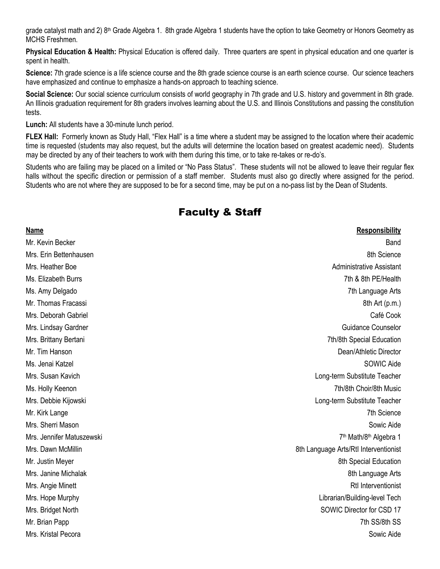grade catalyst math and 2) 8<sup>th</sup> Grade Algebra 1. 8th grade Algebra 1 students have the option to take Geometry or Honors Geometry as MCHS Freshmen.

**Physical Education & Health:** Physical Education is offered daily. Three quarters are spent in physical education and one quarter is spent in health.

**Science:** 7th grade science is a life science course and the 8th grade science course is an earth science course. Our science teachers have emphasized and continue to emphasize a hands-on approach to teaching science.

**Social Science:** Our social science curriculum consists of world geography in 7th grade and U.S. history and government in 8th grade. An Illinois graduation requirement for 8th graders involves learning about the U.S. and Illinois Constitutions and passing the constitution tests.

**Lunch:** All students have a 30-minute lunch period.

**FLEX Hall:** Formerly known as Study Hall, "Flex Hall" is a time where a student may be assigned to the location where their academic time is requested (students may also request, but the adults will determine the location based on greatest academic need). Students may be directed by any of their teachers to work with them during this time, or to take re-takes or re-do's.

Students who are failing may be placed on a limited or "No Pass Status". These students will not be allowed to leave their regular flex halls without the specific direction or permission of a staff member. Students must also go directly where assigned for the period. Students who are not where they are supposed to be for a second time, may be put on a no-pass list by the Dean of Students.

## Faculty & Staff

| <b>Name</b>               | <b>Responsibility</b>                          |
|---------------------------|------------------------------------------------|
| Mr. Kevin Becker          | Band                                           |
| Mrs. Erin Bettenhausen    | 8th Science                                    |
| Mrs. Heather Boe          | <b>Administrative Assistant</b>                |
| Ms. Elizabeth Burrs       | 7th & 8th PE/Health                            |
| Ms. Amy Delgado           | 7th Language Arts                              |
| Mr. Thomas Fracassi       | 8th Art (p.m.)                                 |
| Mrs. Deborah Gabriel      | Café Cook                                      |
| Mrs. Lindsay Gardner      | Guidance Counselor                             |
| Mrs. Brittany Bertani     | 7th/8th Special Education                      |
| Mr. Tim Hanson            | Dean/Athletic Director                         |
| Ms. Jenai Katzel          | SOWIC Aide                                     |
| Mrs. Susan Kavich         | Long-term Substitute Teacher                   |
| Ms. Holly Keenon          | 7th/8th Choir/8th Music                        |
| Mrs. Debbie Kijowski      | Long-term Substitute Teacher                   |
| Mr. Kirk Lange            | 7th Science                                    |
| Mrs. Sherri Mason         | Sowic Aide                                     |
| Mrs. Jennifer Matuszewski | 7 <sup>th</sup> Math/8 <sup>th</sup> Algebra 1 |
| Mrs. Dawn McMillin        | 8th Language Arts/RtI Interventionist          |
| Mr. Justin Meyer          | 8th Special Education                          |
| Mrs. Janine Michalak      | 8th Language Arts                              |
| Mrs. Angie Minett         | <b>RtI</b> Interventionist                     |
| Mrs. Hope Murphy          | Librarian/Building-level Tech                  |
| Mrs. Bridget North        | SOWIC Director for CSD 17                      |
| Mr. Brian Papp            | 7th SS/8th SS                                  |
| Mrs. Kristal Pecora       | Sowic Aide                                     |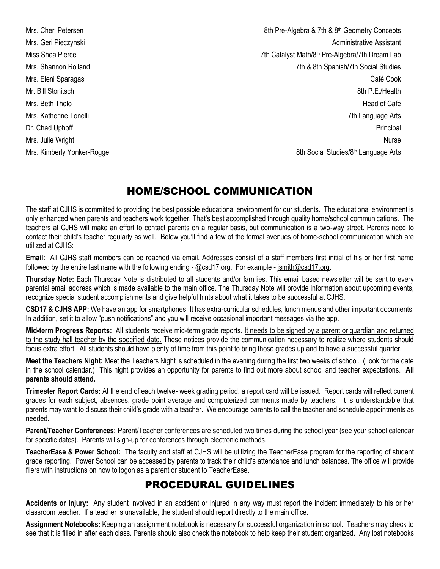Mrs. Cheri Petersen 8th Pre-Algebra & 7th & 8<sup>th</sup> Geometry Concepts Mrs. Geri Pieczynski **Administrative Assistant** Miss Shea Pierce 7th Catalyst Math/8<sup>th</sup> Pre-Algebra/7th Dream Lab Mrs. Shannon Rolland 7th & 8th Spanish/7th Social Studies Mrs. Eleni Sparagas Café Cook Mr. Bill Stonitsch 8th P.E./Health Mrs. Beth Thelo Head of Café Mrs. Katherine Tonelli 7th Language Arts Dr. Chad Uphoff Principal Principal Principal Principal Principal Principal Principal Principal Principal Principal Principal Principal Principal Principal Principal Principal Principal Principal Principal Principal Princi Mrs. Julie Wright Nurse Nurse Nurse Nurse Nurse Nurse Nurse Nurse Nurse Nurse Nurse Nurse Nurse Nurse Nurse Nu Mrs. Kimberly Yonker-Rogge 8th Social Studies/8<sup>th</sup> Language Arts

## HOME/SCHOOL COMMUNICATION

The staff at CJHS is committed to providing the best possible educational environment for our students. The educational environment is only enhanced when parents and teachers work together. That's best accomplished through quality home/school communications. The teachers at CJHS will make an effort to contact parents on a regular basis, but communication is a two-way street. Parents need to contact their child's teacher regularly as well. Below you'll find a few of the formal avenues of home-school communication which are utilized at CJHS:

**Email:** All CJHS staff members can be reached via email. Addresses consist of a staff members first initial of his or her first name followed by the entire last name with the following ending - @csd17.org. For example - jsmith@csd17.org.

**Thursday Note:** Each Thursday Note is distributed to all students and/or families. This email based newsletter will be sent to every parental email address which is made available to the main office. The Thursday Note will provide information about upcoming events, recognize special student accomplishments and give helpful hints about what it takes to be successful at CJHS.

**CSD17 & CJHS APP:** We have an app for smartphones. It has extra-curricular schedules, lunch menus and other important documents. In addition, set it to allow "push notifications" and you will receive occasional important messages via the app.

**Mid-term Progress Reports:** All students receive mid-term grade reports. It needs to be signed by a parent or guardian and returned to the study hall teacher by the specified date. These notices provide the communication necessary to realize where students should focus extra effort. All students should have plenty of time from this point to bring those grades up and to have a successful quarter.

**Meet the Teachers Night:** Meet the Teachers Night is scheduled in the evening during the first two weeks of school. (Look for the date in the school calendar.) This night provides an opportunity for parents to find out more about school and teacher expectations. **All parents should attend.**

**Trimester Report Cards:** At the end of each twelve- week grading period, a report card will be issued. Report cards will reflect current grades for each subject, absences, grade point average and computerized comments made by teachers. It is understandable that parents may want to discuss their child's grade with a teacher. We encourage parents to call the teacher and schedule appointments as needed.

**Parent/Teacher Conferences:** Parent/Teacher conferences are scheduled two times during the school year (see your school calendar for specific dates). Parents will sign-up for conferences through electronic methods.

**TeacherEase & Power School:** The faculty and staff at CJHS will be utilizing the TeacherEase program for the reporting of student grade reporting. Power School can be accessed by parents to track their child's attendance and lunch balances. The office will provide fliers with instructions on how to logon as a parent or student to TeacherEase.

## PROCEDURAL GUIDELINES

**Accidents or Injury:** Any student involved in an accident or injured in any way must report the incident immediately to his or her classroom teacher. If a teacher is unavailable, the student should report directly to the main office.

**Assignment Notebooks:** Keeping an assignment notebook is necessary for successful organization in school. Teachers may check to see that it is filled in after each class. Parents should also check the notebook to help keep their student organized. Any lost notebooks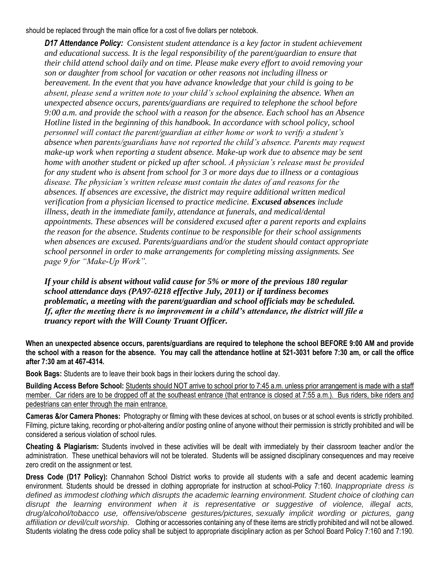should be replaced through the main office for a cost of five dollars per notebook.

*D17 Attendance Policy: Consistent student attendance is a key factor in student achievement and educational success. It is the legal responsibility of the parent/guardian to ensure that their child attend school daily and on time. Please make every effort to avoid removing your son or daughter from school for vacation or other reasons not including illness or bereavement. In the event that you have advance knowledge that your child is going to be absent, please send a written note to your child's school explaining the absence. When an unexpected absence occurs, parents/guardians are required to telephone the school before 9:00 a.m. and provide the school with a reason for the absence. Each school has an Absence Hotline listed in the beginning of this handbook. In accordance with school policy, school personnel will contact the parent/guardian at either home or work to verify a student's absence when parents/guardians have not reported the child's absence. Parents may request make-up work when reporting a student absence. Make-up work due to absence may be sent home with another student or picked up after school. A physician's release must be provided for any student who is absent from school for 3 or more days due to illness or a contagious disease. The physician's written release must contain the dates of and reasons for the absences. If absences are excessive, the district may require additional written medical verification from a physician licensed to practice medicine. Excused absences include illness, death in the immediate family, attendance at funerals, and medical/dental appointments. These absences will be considered excused after a parent reports and explains the reason for the absence. Students continue to be responsible for their school assignments when absences are excused. Parents/guardians and/or the student should contact appropriate school personnel in order to make arrangements for completing missing assignments. See page 9 for "Make-Up Work".*

*If your child is absent without valid cause for 5% or more of the previous 180 regular school attendance days (PA97-0218 effective July, 2011) or if tardiness becomes problematic, a meeting with the parent/guardian and school officials may be scheduled. If, after the meeting there is no improvement in a child's attendance, the district will file a truancy report with the Will County Truant Officer.*

**When an unexpected absence occurs, parents/guardians are required to telephone the school BEFORE 9:00 AM and provide the school with a reason for the absence. You may call the attendance hotline at 521-3031 before 7:30 am, or call the office after 7:30 am at 467-4314.**

**Book Bags:** Students are to leave their book bags in their lockers during the school day.

**Building Access Before School:** Students should NOT arrive to school prior to 7:45 a.m. unless prior arrangement is made with a staff member. Car riders are to be dropped off at the southeast entrance (that entrance is closed at 7:55 a.m.). Bus riders, bike riders and pedestrians can enter through the main entrance.

**Cameras &/or Camera Phones:** Photography or filming with these devices at school, on buses or at school events is strictly prohibited. Filming, picture taking, recording or phot-altering and/or posting online of anyone without their permission is strictly prohibited and will be considered a serious violation of school rules.

**Cheating & Plagiarism:** Students involved in these activities will be dealt with immediately by their classroom teacher and/or the administration. These unethical behaviors will not be tolerated. Students will be assigned disciplinary consequences and may receive zero credit on the assignment or test.

**Dress Code (D17 Policy):** Channahon School District works to provide all students with a safe and decent academic learning environment. Students should be dressed in clothing appropriate for instruction at school-Policy 7:160. *Inappropriate dress is defined as immodest clothing which disrupts the academic learning environment. Student choice of clothing can disrupt the learning environment when it is representative or suggestive of violence, illegal acts, drug/alcohol/tobacco use, offensive/obscene gestures/pictures, sexually implicit wording or pictures, gang affiliation or devil/cult worship.* Clothing or accessories containing any of these items are strictly prohibited and will not be allowed. Students violating the dress code policy shall be subject to appropriate disciplinary action as per School Board Policy 7:160 and 7:190.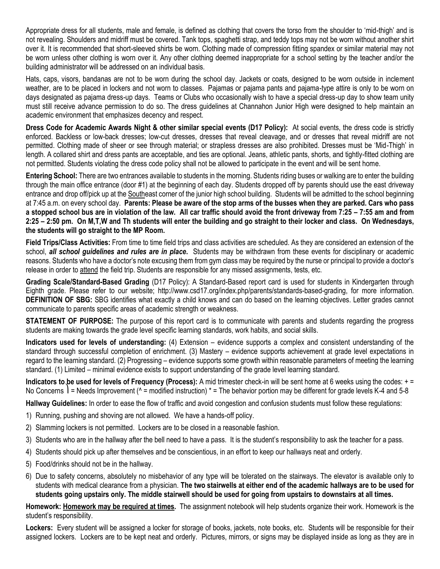Appropriate dress for all students, male and female, is defined as clothing that covers the torso from the shoulder to 'mid-thigh' and is not revealing. Shoulders and midriff must be covered. Tank tops, spaghetti strap, and teddy tops may not be worn without another shirt over it. It is recommended that short-sleeved shirts be worn. Clothing made of compression fitting spandex or similar material may not be worn unless other clothing is worn over it. Any other clothing deemed inappropriate for a school setting by the teacher and/or the building administrator will be addressed on an individual basis.

Hats, caps, visors, bandanas are not to be worn during the school day. Jackets or coats, designed to be worn outside in inclement weather, are to be placed in lockers and not worn to classes. Pajamas or pajama pants and pajama-type attire is only to be worn on days designated as pajama dress-up days. Teams or Clubs who occasionally wish to have a special dress-up day to show team unity must still receive advance permission to do so. The dress guidelines at Channahon Junior High were designed to help maintain an academic environment that emphasizes decency and respect.

**Dress Code for Academic Awards Night & other similar special events (D17 Policy):** At social events, the dress code is strictly enforced. Backless or low-back dresses; low-cut dresses, dresses that reveal cleavage, and or dresses that reveal midriff are not permitted. Clothing made of sheer or see through material; or strapless dresses are also prohibited. Dresses must be 'Mid-Thigh' in length. A collared shirt and dress pants are acceptable, and ties are optional. Jeans, athletic pants, shorts, and tightly-fitted clothing are not permitted. Students violating the dress code policy shall not be allowed to participate in the event and will be sent home.

**Entering School:** There are two entrances available to students in the morning. Students riding buses or walking are to enter the building through the main office entrance (door #1) at the beginning of each day. Students dropped off by parents should use the east driveway entrance and drop off/pick up at the Southeast corner of the junior high school building. Students will be admitted to the school beginning at 7:45 a.m. on every school day. **Parents: Please be aware of the stop arms of the busses when they are parked. Cars who pass a stopped school bus are in violation of the law. All car traffic should avoid the front driveway from 7:25 – 7:55 am and from 2:25 – 2:50 pm. On M,T,W and Th students will enter the building and go straight to their locker and class. On Wednesdays, the students will go straight to the MP Room.**

**Field Trips/Class Activities:** From time to time field trips and class activities are scheduled. As they are considered an extension of the school, *all school guidelines and rules are in place***.** Students may be withdrawn from these events for disciplinary or academic reasons. Students who have a doctor's note excusing them from gym class may be required by the nurse or principal to provide a doctor's release in order to attend the field trip. Students are responsible for any missed assignments, tests, etc.

**Grading Scale/Standard-Based Grading** (D17 Policy): A Standard-Based report card is used for students in Kindergarten through Eighth grade. Please refer to our website; http://www.csd17.org/index.php/parents/standards-based-grading, for more information. **DEFINITION OF SBG:** SBG identifies what exactly a child knows and can do based on the learning objectives. Letter grades cannot communicate to parents specific areas of academic strength or weakness.

**STATEMENT OF PURPOSE:** The purpose of this report card is to communicate with parents and students regarding the progress students are making towards the grade level specific learning standards, work habits, and social skills.

**Indicators used for levels of understanding:** (4) Extension – evidence supports a complex and consistent understanding of the standard through successful completion of enrichment. (3) Mastery – evidence supports achievement at grade level expectations in regard to the learning standard. (2) Progressing – evidence supports some growth within reasonable parameters of meeting the learning standard. (1) Limited – minimal evidence exists to support understanding of the grade level learning standard.

**Indicators to be used for levels of Frequency (Process):** A mid trimester check-in will be sent home at 6 weeks using the codes: + = No Concerns  $\mathsf{l}$  = Needs Improvement ( $\wedge$  = modified instruction)  $\ast$  = The behavior portion may be different for grade levels K-4 and 5-8

**Hallway Guidelines:** In order to ease the flow of traffic and avoid congestion and confusion students must follow these regulations:

- 1) Running, pushing and shoving are not allowed. We have a hands-off policy.
- 2) Slamming lockers is not permitted. Lockers are to be closed in a reasonable fashion.
- 3) Students who are in the hallway after the bell need to have a pass. It is the student's responsibility to ask the teacher for a pass.
- 4) Students should pick up after themselves and be conscientious, in an effort to keep our hallways neat and orderly.
- 5) Food/drinks should not be in the hallway.
- 6) Due to safety concerns, absolutely no misbehavior of any type will be tolerated on the stairways. The elevator is available only to students with medical clearance from a physician. **The two stairwells at either end of the academic hallways are to be used for students going upstairs only. The middle stairwell should be used for going from upstairs to downstairs at all times.**

**Homework: Homework may be required at times.** The assignment notebook will help students organize their work. Homework is the student's responsibility.

**Lockers:** Every student will be assigned a locker for storage of books, jackets, note books, etc. Students will be responsible for their assigned lockers. Lockers are to be kept neat and orderly. Pictures, mirrors, or signs may be displayed inside as long as they are in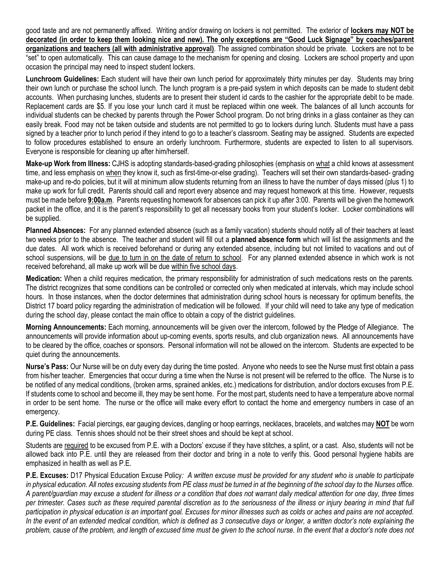good taste and are not permanently affixed. Writing and/or drawing on lockers is not permitted. The exterior of **lockers may NOT be decorated (in order to keep them looking nice and new). The only exceptions are "Good Luck Signage" by coaches/parent organizations and teachers (all with administrative approval)**. The assigned combination should be private. Lockers are not to be "set" to open automatically. This can cause damage to the mechanism for opening and closing. Lockers are school property and upon occasion the principal may need to inspect student lockers.

**Lunchroom Guidelines:** Each student will have their own lunch period for approximately thirty minutes per day. Students may bring their own lunch or purchase the school lunch. The lunch program is a pre-paid system in which deposits can be made to student debit accounts. When purchasing lunches, students are to present their student id cards to the cashier for the appropriate debit to be made. Replacement cards are \$5. If you lose your lunch card it must be replaced within one week. The balances of all lunch accounts for individual students can be checked by parents through the Power School program. Do not bring drinks in a glass container as they can easily break. Food may not be taken outside and students are not permitted to go to lockers during lunch. Students must have a pass signed by a teacher prior to lunch period if they intend to go to a teacher's classroom. Seating may be assigned. Students are expected to follow procedures established to ensure an orderly lunchroom. Furthermore, students are expected to listen to all supervisors. Everyone is responsible for cleaning up after him/herself.

**Make-up Work from Illness:** CJHS is adopting standards-based-grading philosophies (emphasis on what a child knows at assessment time, and less emphasis on when they know it, such as first-time-or-else grading). Teachers will set their own standards-based- grading make-up and re-do policies, but it will at minimum allow students returning from an illness to have the number of days missed (plus 1) to make up work for full credit. Parents should call and report every absence and may request homework at this time. However, requests must be made before **9:00a.m**. Parents requesting homework for absences can pick it up after 3:00. Parents will be given the homework packet in the office, and it is the parent's responsibility to get all necessary books from your student's locker. Locker combinations will be supplied.

**Planned Absences:** For any planned extended absence (such as a family vacation) students should notify all of their teachers at least two weeks prior to the absence. The teacher and student will fill out a **planned absence form** which will list the assignments and the due dates. All work which is received beforehand or during any extended absence, including but not limited to vacations and out of school suspensions, will be due to turn in on the date of return to school. For any planned extended absence in which work is not received beforehand, all make up work will be due within five school days.

**Medication:** When a child requires medication, the primary responsibility for administration of such medications rests on the parents. The district recognizes that some conditions can be controlled or corrected only when medicated at intervals, which may include school hours. In those instances, when the doctor determines that administration during school hours is necessary for optimum benefits, the District 17 board policy regarding the administration of medication will be followed. If your child will need to take any type of medication during the school day, please contact the main office to obtain a copy of the district guidelines.

**Morning Announcements:** Each morning, announcements will be given over the intercom, followed by the Pledge of Allegiance. The announcements will provide information about up-coming events, sports results, and club organization news. All announcements have to be cleared by the office, coaches or sponsors. Personal information will not be allowed on the intercom. Students are expected to be quiet during the announcements.

**Nurse's Pass:** Our Nurse will be on duty every day during the time posted. Anyone who needs to see the Nurse must first obtain a pass from his/her teacher. Emergencies that occur during a time when the Nurse is not present will be referred to the office. The Nurse is to be notified of any medical conditions, (broken arms, sprained ankles, etc.) medications for distribution, and/or doctors excuses from P.E. If students come to school and become ill, they may be sent home. For the most part, students need to have a temperature above normal in order to be sent home. The nurse or the office will make every effort to contact the home and emergency numbers in case of an emergency.

**P.E. Guidelines:** Facial piercings, ear gauging devices, dangling or hoop earrings, necklaces, bracelets, and watches may **NOT** be worn during PE class. Tennis shoes should not be their street shoes and should be kept at school.

Students are required to be excused from P.E. with a Doctors' excuse if they have stitches, a splint, or a cast. Also, students will not be allowed back into P.E. until they are released from their doctor and bring in a note to verify this. Good personal hygiene habits are emphasized in health as well as P.E.

**P.E. Excuses:** D17 Physical Education Excuse Policy*: A written excuse must be provided for any student who is unable to participate in physical education. All notes excusing students from PE class must be turned in at the beginning of the school day to the Nurses office. A parent/guardian may excuse a student for illness or a condition that does not warrant daily medical attention for one day, three times per trimester. Cases such as these required parental discretion as to the seriousness of the illness or injury bearing in mind that full participation in physical education is an important goal. Excuses for minor illnesses such as colds or aches and pains are not accepted. In the event of an extended medical condition, which is defined as 3 consecutive days or longer, a written doctor's note explaining the problem, cause of the problem, and length of excused time must be given to the school nurse. In the event that a doctor's note does not*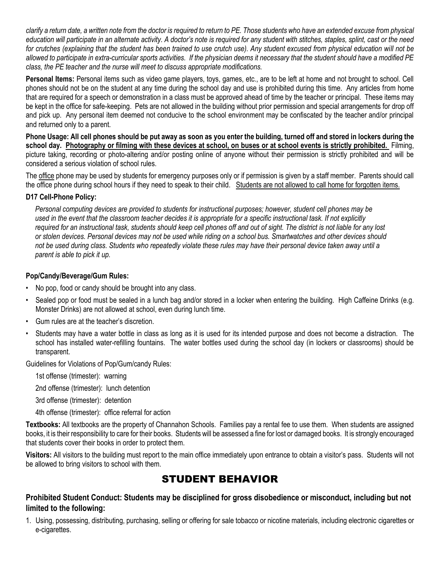*clarify a return date, a written note from the doctor is required to return to PE. Those students who have an extended excuse from physical education will participate in an alternate activity. A doctor's note is required for any student with stitches, staples, splint, cast or the need for crutches (explaining that the student has been trained to use crutch use). Any student excused from physical education will not be allowed to participate in extra-curricular sports activities. If the physician deems it necessary that the student should have a modified PE class, the PE teacher and the nurse will meet to discuss appropriate modifications.*

**Personal Items:** Personal items such as video game players, toys, games, etc., are to be left at home and not brought to school. Cell phones should not be on the student at any time during the school day and use is prohibited during this time. Any articles from home that are required for a speech or demonstration in a class must be approved ahead of time by the teacher or principal. These items may be kept in the office for safe-keeping. Pets are not allowed in the building without prior permission and special arrangements for drop off and pick up. Any personal item deemed not conducive to the school environment may be confiscated by the teacher and/or principal and returned only to a parent.

**Phone Usage: All cell phones should be put away as soon as you enter the building, turned off and stored in lockers during the school day. Photography or filming with these devices at school, on buses or at school events is strictly prohibited.** Filming, picture taking, recording or photo-altering and/or posting online of anyone without their permission is strictly prohibited and will be considered a serious violation of school rules.

The office phone may be used by students for emergency purposes only or if permission is given by a staff member. Parents should call the office phone during school hours if they need to speak to their child. Students are not allowed to call home for forgotten items.

### **D17 Cell-Phone Policy:**

*Personal computing devices are provided to students for instructional purposes; however, student cell phones may be used in the event that the classroom teacher decides it is appropriate for a specific instructional task. If not explicitly required for an instructional task, students should keep cell phones off and out of sight. The district is not liable for any lost or stolen devices. Personal devices may not be used while riding on a school bus. Smartwatches and other devices should not be used during class. Students who repeatedly violate these rules may have their personal device taken away until a parent is able to pick it up.* 

### **Pop/Candy/Beverage/Gum Rules:**

- No pop, food or candy should be brought into any class.
- Sealed pop or food must be sealed in a lunch bag and/or stored in a locker when entering the building. High Caffeine Drinks (e.g. Monster Drinks) are not allowed at school, even during lunch time.
- Gum rules are at the teacher's discretion.
- Students may have a water bottle in class as long as it is used for its intended purpose and does not become a distraction. The school has installed water-refilling fountains. The water bottles used during the school day (in lockers or classrooms) should be transparent.

Guidelines for Violations of Pop/Gum/candy Rules:

1st offense (trimester): warning

2nd offense (trimester): lunch detention

3rd offense (trimester): detention

4th offense (trimester): office referral for action

**Textbooks:** All textbooks are the property of Channahon Schools. Families pay a rental fee to use them. When students are assigned books, it is their responsibility to care for their books. Students will be assessed a fine for lost or damaged books. It is strongly encouraged that students cover their books in order to protect them.

**Visitors:** All visitors to the building must report to the main office immediately upon entrance to obtain a visitor's pass. Students will not be allowed to bring visitors to school with them.

## STUDENT BEHAVIOR

**Prohibited Student Conduct: Students may be disciplined for gross disobedience or misconduct, including but not limited to the following:**

1. Using, possessing, distributing, purchasing, selling or offering for sale tobacco or nicotine materials, including electronic cigarettes or e-cigarettes.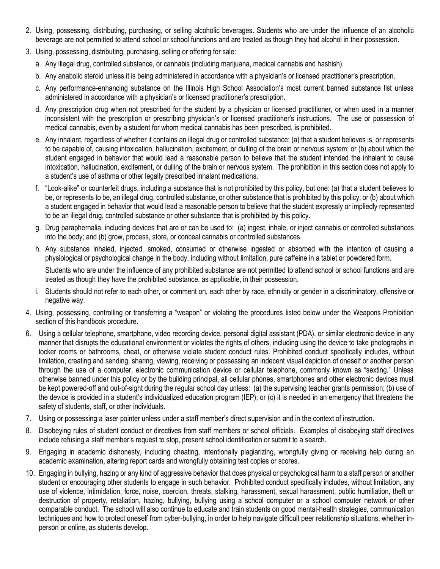- 2. Using, possessing, distributing, purchasing, or selling alcoholic beverages. Students who are under the influence of an alcoholic beverage are not permitted to attend school or school functions and are treated as though they had alcohol in their possession.
- 3. Using, possessing, distributing, purchasing, selling or offering for sale:
	- a. Any illegal drug, controlled substance, or cannabis (including marijuana, medical cannabis and hashish).
	- b. Any anabolic steroid unless it is being administered in accordance with a physician's or licensed practitioner's prescription.
	- c. Any performance-enhancing substance on the Illinois High School Association's most current banned substance list unless administered in accordance with a physician's or licensed practitioner's prescription.
	- d. Any prescription drug when not prescribed for the student by a physician or licensed practitioner, or when used in a manner inconsistent with the prescription or prescribing physician's or licensed practitioner's instructions. The use or possession of medical cannabis, even by a student for whom medical cannabis has been prescribed, is prohibited.
	- e. Any inhalant, regardless of whether it contains an illegal drug or controlled substance: (a) that a student believes is, or represents to be capable of, causing intoxication, hallucination, excitement, or dulling of the brain or nervous system; or (b) about which the student engaged in behavior that would lead a reasonable person to believe that the student intended the inhalant to cause intoxication, hallucination, excitement, or dulling of the brain or nervous system. The prohibition in this section does not apply to a student's use of asthma or other legally prescribed inhalant medications.
	- f. "Look-alike" or counterfeit drugs, including a substance that is not prohibited by this policy, but one: (a) that a student believes to be, or represents to be, an illegal drug, controlled substance, or other substance that is prohibited by this policy; or (b) about which a student engaged in behavior that would lead a reasonable person to believe that the student expressly or impliedly represented to be an illegal drug, controlled substance or other substance that is prohibited by this policy.
	- g. Drug paraphernalia, including devices that are or can be used to: (a) ingest, inhale, or inject cannabis or controlled substances into the body; and (b) grow, process, store, or conceal cannabis or controlled substances.
	- h. Any substance inhaled, injected, smoked, consumed or otherwise ingested or absorbed with the intention of causing a physiological or psychological change in the body, including without limitation, pure caffeine in a tablet or powdered form.

Students who are under the influence of any prohibited substance are not permitted to attend school or school functions and are treated as though they have the prohibited substance, as applicable, in their possession.

- i. Students should not refer to each other, or comment on, each other by race, ethnicity or gender in a discriminatory, offensive or negative way.
- 4. Using, possessing, controlling or transferring a "weapon" or violating the procedures listed below under the Weapons Prohibition section of this handbook procedure.
- 6. Using a cellular telephone, smartphone, video recording device, personal digital assistant (PDA), or similar electronic device in any manner that disrupts the educational environment or violates the rights of others, including using the device to take photographs in locker rooms or bathrooms, cheat, or otherwise violate student conduct rules. Prohibited conduct specifically includes, without limitation, creating and sending, sharing, viewing, receiving or possessing an indecent visual depiction of oneself or another person through the use of a computer, electronic communication device or cellular telephone, commonly known as "sexting." Unless otherwise banned under this policy or by the building principal, all cellular phones, smartphones and other electronic devices must be kept powered-off and out-of-sight during the regular school day unless: (a) the supervising teacher grants permission; (b) use of the device is provided in a student's individualized education program (IEP); or (c) it is needed in an emergency that threatens the safety of students, staff, or other individuals.
- 7. Using or possessing a laser pointer unless under a staff member's direct supervision and in the context of instruction.
- 8. Disobeying rules of student conduct or directives from staff members or school officials. Examples of disobeying staff directives include refusing a staff member's request to stop, present school identification or submit to a search.
- 9. Engaging in academic dishonesty, including cheating, intentionally plagiarizing, wrongfully giving or receiving help during an academic examination, altering report cards and wrongfully obtaining test copies or scores.
- 10. Engaging in bullying, hazing or any kind of aggressive behavior that does physical or psychological harm to a staff person or another student or encouraging other students to engage in such behavior. Prohibited conduct specifically includes, without limitation, any use of violence, intimidation, force, noise, coercion, threats, stalking, harassment, sexual harassment, public humiliation, theft or destruction of property, retaliation, hazing, bullying, bullying using a school computer or a school computer network or other comparable conduct. The school will also continue to educate and train students on good mental-health strategies, communication techniques and how to protect oneself from cyber-bullying, in order to help navigate difficult peer relationship situations, whether inperson or online, as students develop.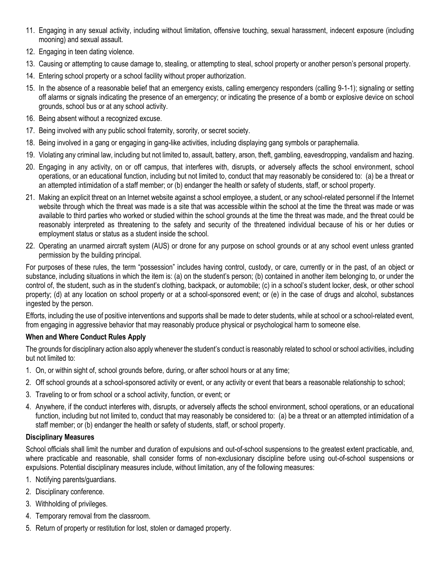- 11. Engaging in any sexual activity, including without limitation, offensive touching, sexual harassment, indecent exposure (including mooning) and sexual assault.
- 12. Engaging in teen dating violence.
- 13. Causing or attempting to cause damage to, stealing, or attempting to steal, school property or another person's personal property.
- 14. Entering school property or a school facility without proper authorization.
- 15. In the absence of a reasonable belief that an emergency exists, calling emergency responders (calling 9-1-1); signaling or setting off alarms or signals indicating the presence of an emergency; or indicating the presence of a bomb or explosive device on school grounds, school bus or at any school activity.
- 16. Being absent without a recognized excuse.
- 17. Being involved with any public school fraternity, sorority, or secret society.
- 18. Being involved in a gang or engaging in gang-like activities, including displaying gang symbols or paraphernalia.
- 19. Violating any criminal law, including but not limited to, assault, battery, arson, theft, gambling, eavesdropping, vandalism and hazing.
- 20. Engaging in any activity, on or off campus, that interferes with, disrupts, or adversely affects the school environment, school operations, or an educational function, including but not limited to, conduct that may reasonably be considered to: (a) be a threat or an attempted intimidation of a staff member; or (b) endanger the health or safety of students, staff, or school property.
- 21. Making an explicit threat on an Internet website against a school employee, a student, or any school-related personnel if the Internet website through which the threat was made is a site that was accessible within the school at the time the threat was made or was available to third parties who worked or studied within the school grounds at the time the threat was made, and the threat could be reasonably interpreted as threatening to the safety and security of the threatened individual because of his or her duties or employment status or status as a student inside the school.
- 22. Operating an unarmed aircraft system (AUS) or drone for any purpose on school grounds or at any school event unless granted permission by the building principal.

For purposes of these rules, the term "possession" includes having control, custody, or care, currently or in the past, of an object or substance, including situations in which the item is: (a) on the student's person; (b) contained in another item belonging to, or under the control of, the student, such as in the student's clothing, backpack, or automobile; (c) in a school's student locker, desk, or other school property; (d) at any location on school property or at a school-sponsored event; or (e) in the case of drugs and alcohol, substances ingested by the person.

Efforts, including the use of positive interventions and supports shall be made to deter students, while at school or a school-related event, from engaging in aggressive behavior that may reasonably produce physical or psychological harm to someone else.

### **When and Where Conduct Rules Apply**

The grounds for disciplinary action also apply whenever the student's conduct is reasonably related to school or school activities, including but not limited to:

- 1. On, or within sight of, school grounds before, during, or after school hours or at any time;
- 2. Off school grounds at a school-sponsored activity or event, or any activity or event that bears a reasonable relationship to school;
- 3. Traveling to or from school or a school activity, function, or event; or
- 4. Anywhere, if the conduct interferes with, disrupts, or adversely affects the school environment, school operations, or an educational function, including but not limited to, conduct that may reasonably be considered to: (a) be a threat or an attempted intimidation of a staff member; or (b) endanger the health or safety of students, staff, or school property.

### **Disciplinary Measures**

School officials shall limit the number and duration of expulsions and out-of-school suspensions to the greatest extent practicable, and, where practicable and reasonable, shall consider forms of non-exclusionary discipline before using out-of-school suspensions or expulsions. Potential disciplinary measures include, without limitation, any of the following measures:

- 1. Notifying parents/guardians.
- 2. Disciplinary conference.
- 3. Withholding of privileges.
- 4. Temporary removal from the classroom.
- 5. Return of property or restitution for lost, stolen or damaged property.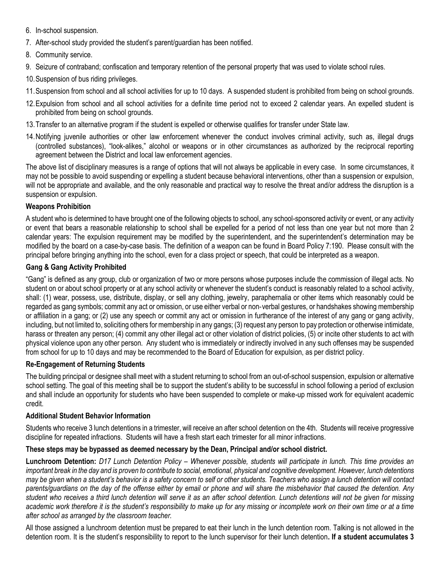- 6. In-school suspension.
- 7. After-school study provided the student's parent/guardian has been notified.
- 8. Community service.
- 9. Seizure of contraband; confiscation and temporary retention of the personal property that was used to violate school rules.
- 10.Suspension of bus riding privileges.
- 11.Suspension from school and all school activities for up to 10 days. A suspended student is prohibited from being on school grounds.
- 12.Expulsion from school and all school activities for a definite time period not to exceed 2 calendar years. An expelled student is prohibited from being on school grounds.
- 13.Transfer to an alternative program if the student is expelled or otherwise qualifies for transfer under State law.
- 14.Notifying juvenile authorities or other law enforcement whenever the conduct involves criminal activity, such as, illegal drugs (controlled substances), "look-alikes," alcohol or weapons or in other circumstances as authorized by the reciprocal reporting agreement between the District and local law enforcement agencies.

The above list of disciplinary measures is a range of options that will not always be applicable in every case. In some circumstances, it may not be possible to avoid suspending or expelling a student because behavioral interventions, other than a suspension or expulsion, will not be appropriate and available, and the only reasonable and practical way to resolve the threat and/or address the disruption is a suspension or expulsion.

### **Weapons Prohibition**

A student who is determined to have brought one of the following objects to school, any school-sponsored activity or event, or any activity or event that bears a reasonable relationship to school shall be expelled for a period of not less than one year but not more than 2 calendar years: The expulsion requirement may be modified by the superintendent, and the superintendent's determination may be modified by the board on a case-by-case basis. The definition of a weapon can be found in Board Policy 7:190. Please consult with the principal before bringing anything into the school, even for a class project or speech, that could be interpreted as a weapon.

### **Gang & Gang Activity Prohibited**

"Gang" is defined as any group, club or organization of two or more persons whose purposes include the commission of illegal acts. No student on or about school property or at any school activity or whenever the student's conduct is reasonably related to a school activity, shall: (1) wear, possess, use, distribute, display, or sell any clothing, jewelry, paraphernalia or other items which reasonably could be regarded as gang symbols; commit any act or omission, or use either verbal or non-verbal gestures, or handshakes showing membership or affiliation in a gang; or (2) use any speech or commit any act or omission in furtherance of the interest of any gang or gang activity, including, but not limited to, soliciting others for membership in any gangs; (3) request any person to pay protection or otherwise intimidate, harass or threaten any person; (4) commit any other illegal act or other violation of district policies, (5) or incite other students to act with physical violence upon any other person.Any student who is immediately or indirectly involved in any such offenses may be suspended from school for up to 10 days and may be recommended to the Board of Education for expulsion, as per district policy.

### **Re-Engagement of Returning Students**

The building principal or designee shall meet with a student returning to school from an out-of-school suspension, expulsion or alternative school setting. The goal of this meeting shall be to support the student's ability to be successful in school following a period of exclusion and shall include an opportunity for students who have been suspended to complete or make-up missed work for equivalent academic credit.

### **Additional Student Behavior Information**

Students who receive 3 lunch detentions in a trimester, will receive an after school detention on the 4th. Students will receive progressive discipline for repeated infractions. Students will have a fresh start each trimester for all minor infractions.

### **These steps may be bypassed as deemed necessary by the Dean, Principal and/or school district.**

**Lunchroom Detention:** *D17 Lunch Detention Policy – Whenever possible, students will participate in lunch. This time provides an important break in the day and is proven to contribute to social, emotional, physical and cognitive development. However, lunch detentions may be given when a student's behavior is a safety concern to self or other students. Teachers who assign a lunch detention will contact parents/guardians on the day of the offense either by email or phone and will share the misbehavior that caused the detention. Any student who receives a third lunch detention will serve it as an after school detention. Lunch detentions will not be given for missing academic work therefore it is the student's responsibility to make up for any missing or incomplete work on their own time or at a time after school as arranged by the classroom teacher.*

All those assigned a lunchroom detention must be prepared to eat their lunch in the lunch detention room. Talking is not allowed in the detention room. It is the student's responsibility to report to the lunch supervisor for their lunch detention**. If a student accumulates 3**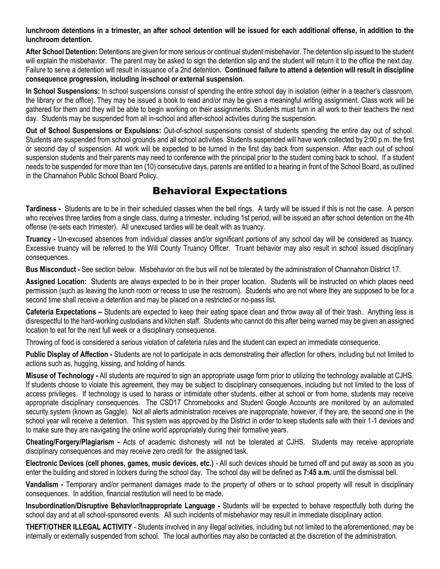**lunchroom detentions in a trimester, an after school detention will be issued for each additional offense, in addition to the lunchroom detention.** 

**After School Detention:** Detentions are given for more serious or continual student misbehavior. The detention slip issued to the student will explain the misbehavior. The parent may be asked to sign the detention slip and the student will return it to the office the next day. Failure to serve a detention will result in issuance of a 2nd detention**. Continued failure to attend a detention will result in discipline consequence progression, including in-school or external suspension.** 

**In School Suspensions:** In school suspensions consist of spending the entire school day in isolation (either in a teacher's classroom, the library or the office). They may be issued a book to read and/or may be given a meaningful writing assignment. Class work will be gathered for them and they will be able to begin working on their assignments. Students must turn in all work to their teachers the next day. Students may be suspended from all in-school and after-school activities during the suspension.

**Out of School Suspensions or Expulsions:** Out-of-school suspensions consist of students spending the entire day out of school. Students are suspended from school grounds and all school activities. Students suspended will have work collected by 2:00 p.m. the first or second day of suspension. All work will be expected to be turned in the first day back from suspension. After each out of school suspension students and their parents may need to conference with the principal prior to the student coming back to school. If a student needs to be suspended for more than ten (10) consecutive days, parents are entitled to a hearing in front of the School Board, as outlined in the Channahon Public School Board Policy.

## Behavioral Expectations

**Tardiness -** Students are to be in their scheduled classes when the bell rings. A tardy will be issued if this is not the case. A person who receives three tardies from a single class, during a trimester, including 1st period, will be issued an after school detention on the 4th offense (re-sets each trimester). All unexcused tardies will be dealt with as truancy.

**Truancy -** Un-excused absences from individual classes and/or significant portions of any school day will be considered as truancy. Excessive truancy will be referred to the Will County Truancy Officer. Truant behavior may also result in school issued disciplinary consequences.

**Bus Misconduct -** See section below. Misbehavior on the bus will not be tolerated by the administration of Channahon District 17.

**Assigned Location:** Students are always expected to be in their proper location. Students will be instructed on which places need permission (such as leaving the lunch room or recess to use the restroom). Students who are not where they are supposed to be for a second time shall receive a detention and may be placed on a restricted or no-pass list.

Cafeteria Expectations – Students are expected to keep their eating space clean and throw away all of their trash. Anything less is disrespectful to the hard-working custodians and kitchen staff. Students who cannot do this after being warned may be given an assigned location to eat for the next full week or a disciplinary consequence.

Throwing of food is considered a serious violation of cafeteria rules and the student can expect an immediate consequence.

**Public Display of Affection -** Students are not to participate in acts demonstrating their affection for others, including but not limited to actions such as, hugging, kissing, and holding of hands.

**Misuse of Technology -** All students are required to sign an appropriate usage form prior to utilizing the technology available at CJHS. If students choose to violate this agreement, they may be subject to disciplinary consequences, including but not limited to the loss of access privileges. If technology is used to harass or intimidate other students, either at school or from home, students may receive appropriate disciplinary consequences. The CSD17 Chromebooks and Student Google Accounts are monitored by an automated security system (known as Gaggle). Not all alerts administration receives are inappropriate, however, if they are, the second one in the school year will receive a detention. This system was approved by the District in order to keep students safe with their 1-1 devices and to make sure they are navigating the online world appropriately during their formative years.

**Cheating/Forgery/Plagiarism -** Acts of academic dishonesty will not be tolerated at CJHS. Students may receive appropriate disciplinary consequences and may receive zero credit for the assigned task.

**Electronic Devices (cell phones, games, music devices, etc.)** - All such devices should be turned off and put away as soon as you enter the building and stored in lockers during the school day. The school day will be defined as **7:45 a.m.** until the dismissal bell.

**Vandalism -** Temporary and/or permanent damages made to the property of others or to school property will result in disciplinary consequences. In addition, financial restitution will need to be made.

**Insubordination/Disruptive Behavior/Inappropriate Language -** Students will be expected to behave respectfully both during the school day and at all school-sponsored events. All such incidents of misbehavior may result in immediate disciplinary action.

**THEFT/OTHER ILLEGAL ACTIVITY** - Students involved in any illegal activities, including but not limited to the aforementioned, may be internally or externally suspended from school. The local authorities may also be contacted at the discretion of the administration.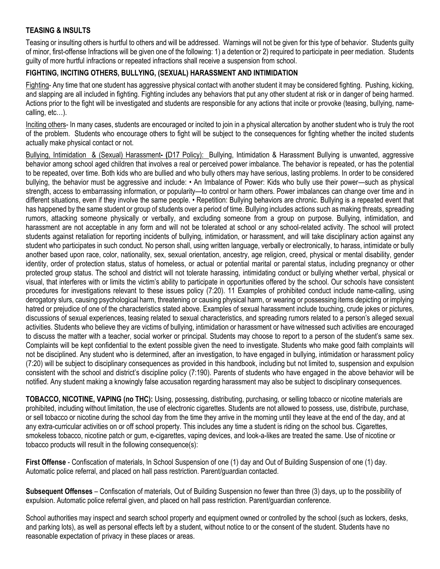### **TEASING & INSULTS**

Teasing or insulting others is hurtful to others and will be addressed. Warnings will not be given for this type of behavior. Students guilty of minor, first-offense Infractions will be given one of the following: 1) a detention or 2) required to participate in peer mediation. Students guilty of more hurtful infractions or repeated infractions shall receive a suspension from school.

### **FIGHTING, INCITING OTHERS, BULLYING, (SEXUAL) HARASSMENT AND INTIMIDATION**

Fighting- Any time that one student has aggressive physical contact with another student it may be considered fighting. Pushing, kicking, and slapping are all included in fighting. Fighting includes any behaviors that put any other student at risk or in danger of being harmed. Actions prior to the fight will be investigated and students are responsible for any actions that incite or provoke (teasing, bullying, namecalling, etc…).

Inciting others- In many cases, students are encouraged or incited to join in a physical altercation by another student who is truly the root of the problem. Students who encourage others to fight will be subject to the consequences for fighting whether the incited students actually make physical contact or not.

Bullying, Intimidation & (Sexual) Harassment**- (**D17 Policy):Bullying, Intimidation & Harassment Bullying is unwanted, aggressive behavior among school aged children that involves a real or perceived power imbalance. The behavior is repeated, or has the potential to be repeated, over time. Both kids who are bullied and who bully others may have serious, lasting problems. In order to be considered bullying, the behavior must be aggressive and include: • An Imbalance of Power: Kids who bully use their power—such as physical strength, access to embarrassing information, or popularity—to control or harm others. Power imbalances can change over time and in different situations, even if they involve the same people. • Repetition: Bullying behaviors are chronic. Bullying is a repeated event that has happened by the same student or group of students over a period of time. Bullying includes actions such as making threats, spreading rumors, attacking someone physically or verbally, and excluding someone from a group on purpose. Bullying, intimidation, and harassment are not acceptable in any form and will not be tolerated at school or any school-related activity. The school will protect students against retaliation for reporting incidents of bullying, intimidation, or harassment, and will take disciplinary action against any student who participates in such conduct. No person shall, using written language, verbally or electronically, to harass, intimidate or bully another based upon race, color, nationality, sex, sexual orientation, ancestry, age religion, creed, physical or mental disability, gender identity, order of protection status, status of homeless, or actual or potential marital or parental status, including pregnancy or other protected group status. The school and district will not tolerate harassing, intimidating conduct or bullying whether verbal, physical or visual, that interferes with or limits the victim's ability to participate in opportunities offered by the school. Our schools have consistent procedures for investigations relevant to these issues policy (7:20). 11 Examples of prohibited conduct include name-calling, using derogatory slurs, causing psychological harm, threatening or causing physical harm, or wearing or possessing items depicting or implying hatred or prejudice of one of the characteristics stated above. Examples of sexual harassment include touching, crude jokes or pictures, discussions of sexual experiences, teasing related to sexual characteristics, and spreading rumors related to a person's alleged sexual activities. Students who believe they are victims of bullying, intimidation or harassment or have witnessed such activities are encouraged to discuss the matter with a teacher, social worker or principal. Students may choose to report to a person of the student's same sex. Complaints will be kept confidential to the extent possible given the need to investigate. Students who make good faith complaints will not be disciplined. Any student who is determined, after an investigation, to have engaged in bullying, intimidation or harassment policy (7:20) will be subject to disciplinary consequences as provided in this handbook, including but not limited to, suspension and expulsion consistent with the school and district's discipline policy (7:190). Parents of students who have engaged in the above behavior will be notified. Any student making a knowingly false accusation regarding harassment may also be subject to disciplinary consequences.

**TOBACCO, NICOTINE, VAPING (no THC):** Using, possessing, distributing, purchasing, or selling tobacco or nicotine materials are prohibited, including without limitation, the use of electronic cigarettes. Students are not allowed to possess, use, distribute, purchase, or sell tobacco or nicotine during the school day from the time they arrive in the morning until they leave at the end of the day, and at any extra-curricular activities on or off school property. This includes any time a student is riding on the school bus. Cigarettes, smokeless tobacco, nicotine patch or gum, e-cigarettes, vaping devices, and look-a-likes are treated the same. Use of nicotine or tobacco products will result in the following consequence(s):

**First Offense** - Confiscation of materials, In School Suspension of one (1) day and Out of Building Suspension of one (1) day. Automatic police referral, and placed on hall pass restriction. Parent/guardian contacted.

**Subsequent Offenses** – Confiscation of materials, Out of Building Suspension no fewer than three (3) days, up to the possibility of expulsion. Automatic police referral given, and placed on hall pass restriction. Parent/guardian conference.

School authorities may inspect and search school property and equipment owned or controlled by the school (such as lockers, desks, and parking lots), as well as personal effects left by a student, without notice to or the consent of the student. Students have no reasonable expectation of privacy in these places or areas.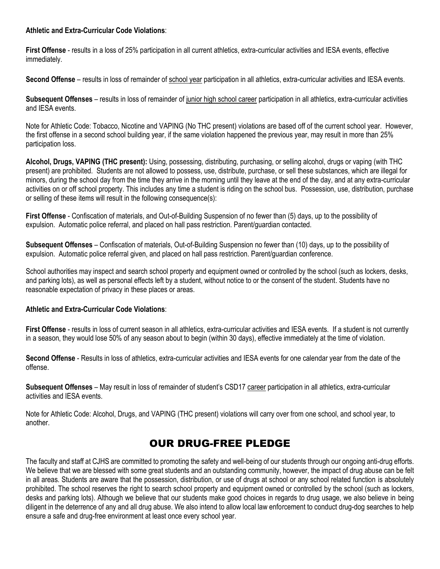### **Athletic and Extra-Curricular Code Violations**:

**First Offense** - results in a loss of 25% participation in all current athletics, extra-curricular activities and IESA events, effective immediately.

Second Offense – results in loss of remainder of school year participation in all athletics, extra-curricular activities and IESA events.

**Subsequent Offenses** – results in loss of remainder of junior high school career participation in all athletics, extra-curricular activities and IESA events.

Note for Athletic Code: Tobacco, Nicotine and VAPING (No THC present) violations are based off of the current school year. However, the first offense in a second school building year, if the same violation happened the previous year, may result in more than 25% participation loss.

**Alcohol, Drugs, VAPING (THC present):** Using, possessing, distributing, purchasing, or selling alcohol, drugs or vaping (with THC present) are prohibited. Students are not allowed to possess, use, distribute, purchase, or sell these substances, which are illegal for minors, during the school day from the time they arrive in the morning until they leave at the end of the day, and at any extra-curricular activities on or off school property. This includes any time a student is riding on the school bus. Possession, use, distribution, purchase or selling of these items will result in the following consequence(s):

**First Offense** - Confiscation of materials, and Out-of-Building Suspension of no fewer than (5) days, up to the possibility of expulsion. Automatic police referral, and placed on hall pass restriction. Parent/guardian contacted.

**Subsequent Offenses** – Confiscation of materials, Out-of-Building Suspension no fewer than (10) days, up to the possibility of expulsion. Automatic police referral given, and placed on hall pass restriction. Parent/guardian conference.

School authorities may inspect and search school property and equipment owned or controlled by the school (such as lockers, desks, and parking lots), as well as personal effects left by a student, without notice to or the consent of the student. Students have no reasonable expectation of privacy in these places or areas.

### **Athletic and Extra-Curricular Code Violations**:

**First Offense** - results in loss of current season in all athletics, extra-curricular activities and IESA events. If a student is not currently in a season, they would lose 50% of any season about to begin (within 30 days), effective immediately at the time of violation.

**Second Offense** - Results in loss of athletics, extra-curricular activities and IESA events for one calendar year from the date of the offense.

**Subsequent Offenses** – May result in loss of remainder of student's CSD17 career participation in all athletics, extra-curricular activities and IESA events.

Note for Athletic Code: Alcohol, Drugs, and VAPING (THC present) violations will carry over from one school, and school year, to another.

## OUR DRUG-FREE PLEDGE

The faculty and staff at CJHS are committed to promoting the safety and well-being of our students through our ongoing anti-drug efforts. We believe that we are blessed with some great students and an outstanding community, however, the impact of drug abuse can be felt in all areas. Students are aware that the possession, distribution, or use of drugs at school or any school related function is absolutely prohibited. The school reserves the right to search school property and equipment owned or controlled by the school (such as lockers, desks and parking lots). Although we believe that our students make good choices in regards to drug usage, we also believe in being diligent in the deterrence of any and all drug abuse. We also intend to allow local law enforcement to conduct drug-dog searches to help ensure a safe and drug-free environment at least once every school year.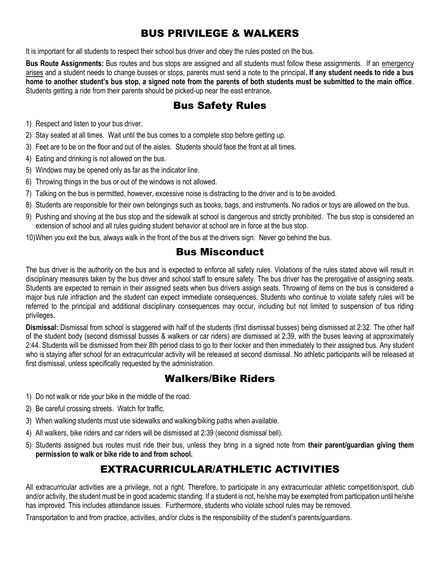# BUS PRIVILEGE & WALKERS

It is important for all students to respect their school bus driver and obey the rules posted on the bus.

**Bus Route Assignments:** Bus routes and bus stops are assigned and all students must follow these assignments. If an emergency arises and a student needs to change busses or stops, parents must send a note to the principal**. If any student needs to ride a bus home to another student's bus stop, a signed note from the parents of both students must be submitted to the main office**. Students getting a ride from their parents should be picked-up near the east entrance**.**

## Bus Safety Rules

- 1) Respect and listen to your bus driver.
- 2) Stay seated at all times. Wait until the bus comes to a complete stop before getting up.
- 3) Feet are to be on the floor and out of the aisles. Students should face the front at all times.
- 4) Eating and drinking is not allowed on the bus.
- 5) Windows may be opened only as far as the indicator line.
- 6) Throwing things in the bus or out of the windows is not allowed.
- 7) Talking on the bus is permitted, however, excessive noise is distracting to the driver and is to be avoided.
- 8) Students are responsible for their own belongings such as books, bags, and instruments. No radios or toys are allowed on the bus.
- 9) Pushing and shoving at the bus stop and the sidewalk at school is dangerous and strictly prohibited. The bus stop is considered an extension of school and all rules guiding student behavior at school are in force at the bus stop.
- 10)When you exit the bus, always walk in the front of the bus at the drivers sign. Never go behind the bus.

### Bus Misconduct

The bus driver is the authority on the bus and is expected to enforce all safety rules. Violations of the rules stated above will result in disciplinary measures taken by the bus driver and school staff to ensure safety. The bus driver has the prerogative of assigning seats. Students are expected to remain in their assigned seats when bus drivers assign seats. Throwing of items on the bus is considered a major bus rule infraction and the student can expect immediate consequences. Students who continue to violate safety rules will be referred to the principal and additional disciplinary consequences may occur, including but not limited to suspension of bus riding privileges.

**Dismissal:** Dismissal from school is staggered with half of the students (first dismissal busses) being dismissed at 2:32. The other half of the student body (second dismissal busses & walkers or car riders) are dismissed at 2:39, with the buses leaving at approximately 2:44. Students will be dismissed from their 8th period class to go to their locker and then immediately to their assigned bus. Any student who is staying after school for an extracurricular activity will be released at second dismissal. No athletic participants will be released at first dismissal, unless specifically requested by the administration.

### Walkers/Bike Riders

- 1) Do not walk or ride your bike in the middle of the road.
- 2) Be careful crossing streets. Watch for traffic.
- 3) When walking students must use sidewalks and walking/biking paths when available.
- 4) All walkers, bike riders and car riders will be dismissed at 2:39 (second dismissal bell).
- 5) Students assigned bus routes must ride their bus, unless they bring in a signed note from **their parent/guardian giving them permission to walk or bike ride to and from school.**

## EXTRACURRICULAR/ATHLETIC ACTIVITIES

All extracurricular activities are a privilege, not a right. Therefore, to participate in any extracurricular athletic competition/sport, club and/or activity, the student must be in good academic standing. If a student is not, he/she may be exempted from participation until he/she has improved. This includes attendance issues. Furthermore, students who violate school rules may be removed.

Transportation to and from practice, activities, and/or clubs is the responsibility of the student's parents/guardians.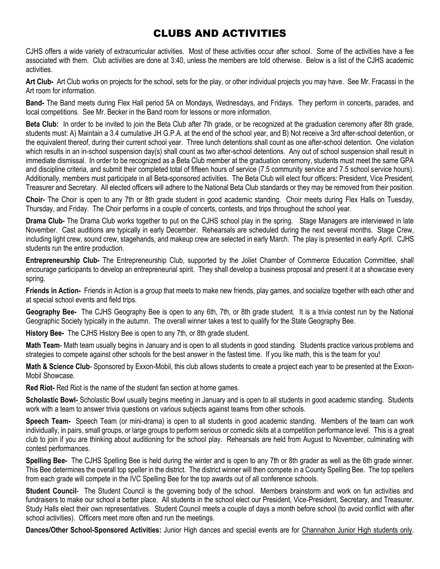# CLUBS AND ACTIVITIES

CJHS offers a wide variety of extracurricular activities. Most of these activities occur after school. Some of the activities have a fee associated with them. Club activities are done at 3:40, unless the members are told otherwise. Below is a list of the CJHS academic activities.

**Art Club-** Art Club works on projects for the school, sets for the play, or other individual projects you may have. See Mr. Fracassi in the Art room for information.

**Band-** The Band meets during Flex Hall period 5A on Mondays, Wednesdays, and Fridays. They perform in concerts, parades, and local competitions. See Mr. Becker in the Band room for lessons or more information.

**Beta Club:** In order to be invited to join the Beta Club after 7th grade, or be recognized at the graduation ceremony after 8th grade, students must: A) Maintain a 3.4 cumulative JH G.P.A. at the end of the school year, and B) Not receive a 3rd after-school detention, or the equivalent thereof, during their current school year. Three lunch detentions shall count as one after-school detention. One violation which results in an in-school suspension day(s) shall count as two after-school detentions. Any out of school suspension shall result in immediate dismissal. In order to be recognized as a Beta Club member at the graduation ceremony, students must meet the same GPA and discipline criteria, and submit their completed total of fifteen hours of service (7.5 community service and 7.5 school service hours). Additionally, members must participate in all Beta-sponsored activities. The Beta Club will elect four officers: President, Vice President, Treasurer and Secretary. All elected officers will adhere to the National Beta Club standards or they may be removed from their position.

**Choir-** The Choir is open to any 7th or 8th grade student in good academic standing. Choir meets during Flex Halls on Tuesday, Thursday, and Friday. The Choir performs in a couple of concerts, contests, and trips throughout the school year.

**Drama Club-** The Drama Club works together to put on the CJHS school play in the spring. Stage Managers are interviewed in late November. Cast auditions are typically in early December. Rehearsals are scheduled during the next several months. Stage Crew, including light crew, sound crew, stagehands, and makeup crew are selected in early March. The play is presented in early April. CJHS students run the entire production.

**Entrepreneurship Club-** The Entrepreneurship Club, supported by the Joliet Chamber of Commerce Education Committee, shall encourage participants to develop an entrepreneurial spirit. They shall develop a business proposal and present it at a showcase every spring.

**Friends in Action-** Friends in Action is a group that meets to make new friends, play games, and socialize together with each other and at special school events and field trips.

**Geography Bee-** The CJHS Geography Bee is open to any 6th, 7th, or 8th grade student. It is a trivia contest run by the National Geographic Society typically in the autumn. The overall winner takes a test to qualify for the State Geography Bee.

**History Bee-** The CJHS History Bee is open to any 7th, or 8th grade student.

**Math Team**- Math team usually begins in January and is open to all students in good standing. Students practice various problems and strategies to compete against other schools for the best answer in the fastest time. If you like math, this is the team for you!

**Math & Science Club**- Sponsored by Exxon-Mobil, this club allows students to create a project each year to be presented at the Exxon-Mobil Showcase.

**Red Riot-** Red Riot is the name of the student fan section at home games.

**Scholastic Bowl-** Scholastic Bowl usually begins meeting in January and is open to all students in good academic standing. Students work with a team to answer trivia questions on various subjects against teams from other schools.

**Speech Team-** Speech Team (or mini-drama) is open to all students in good academic standing. Members of the team can work individually, in pairs, small groups, or large groups to perform serious or comedic skits at a competition performance level. This is a great club to join if you are thinking about auditioning for the school play. Rehearsals are held from August to November, culminating with contest performances.

**Spelling Bee-** The CJHS Spelling Bee is held during the winter and is open to any 7th or 8th grader as well as the 6th grade winner. This Bee determines the overall top speller in the district. The district winner will then compete in a County Spelling Bee. The top spellers from each grade will compete in the IVC Spelling Bee for the top awards out of all conference schools.

**Student Council**- The Student Council is the governing body of the school. Members brainstorm and work on fun activities and fundraisers to make our school a better place. All students in the school elect our President, Vice-President, Secretary, and Treasurer. Study Halls elect their own representatives. Student Council meets a couple of days a month before school (to avoid conflict with after school activities). Officers meet more often and run the meetings.

**Dances/Other School-Sponsored Activities:** Junior High dances and special events are for Channahon Junior High students only.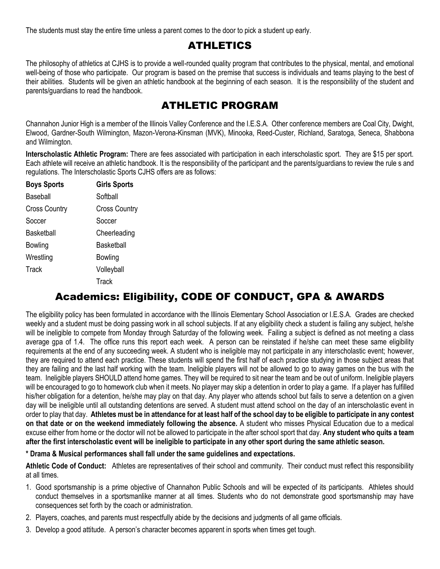The students must stay the entire time unless a parent comes to the door to pick a student up early.

### ATHLETICS

The philosophy of athletics at CJHS is to provide a well-rounded quality program that contributes to the physical, mental, and emotional well-being of those who participate. Our program is based on the premise that success is individuals and teams playing to the best of their abilities. Students will be given an athletic handbook at the beginning of each season. It is the responsibility of the student and parents/guardians to read the handbook.

## ATHLETIC PROGRAM

Channahon Junior High is a member of the Illinois Valley Conference and the I.E.S.A. Other conference members are Coal City, Dwight, Elwood, Gardner-South Wilmington, Mazon-Verona-Kinsman (MVK), Minooka, Reed-Custer, Richland, Saratoga, Seneca, Shabbona and Wilmington.

**Interscholastic Athletic Program:** There are fees associated with participation in each interscholastic sport. They are \$15 per sport. Each athlete will receive an athletic handbook. It is the responsibility of the participant and the parents/guardians to review the rule s and regulations. The Interscholastic Sports CJHS offers are as follows:

| <b>Boys Sports</b>   | <b>Girls Sports</b>  |
|----------------------|----------------------|
| Baseball             | Softball             |
| <b>Cross Country</b> | <b>Cross Country</b> |
| Soccer               | Soccer               |
| Basketball           | Cheerleading         |
| Bowling              | Basketball           |
| Wrestling            | Bowling              |
| Track                | Volleyball           |
|                      | Track                |

## Academics: Eligibility, CODE OF CONDUCT, GPA & AWARDS

The eligibility policy has been formulated in accordance with the Illinois Elementary School Association or I.E.S.A. Grades are checked weekly and a student must be doing passing work in all school subjects. If at any eligibility check a student is failing any subject, he/she will be ineligible to compete from Monday through Saturday of the following week. Failing a subject is defined as not meeting a class average gpa of 1.4. The office runs this report each week. A person can be reinstated if he/she can meet these same eligibility requirements at the end of any succeeding week. A student who is ineligible may not participate in any interscholastic event; however, they are required to attend each practice. These students will spend the first half of each practice studying in those subject areas that they are failing and the last half working with the team. Ineligible players will not be allowed to go to away games on the bus with the team. Ineligible players SHOULD attend home games. They will be required to sit near the team and be out of uniform. Ineligible players will be encouraged to go to homework club when it meets. No player may skip a detention in order to play a game. If a player has fulfilled his/her obligation for a detention, he/she may play on that day. Any player who attends school but fails to serve a detention on a given day will be ineligible until all outstanding detentions are served. A student must attend school on the day of an interscholastic event in order to play that day. **Athletes must be in attendance for at least half of the school day to be eligible to participate in any contest on that date or on the weekend immediately following the absence.** A student who misses Physical Education due to a medical excuse either from home or the doctor will not be allowed to participate in the after school sport that day. **Any student who quits a team after the first interscholastic event will be ineligible to participate in any other sport during the same athletic season.**

**\* Drama & Musical performances shall fall under the same guidelines and expectations.**

**Athletic Code of Conduct:** Athletes are representatives of their school and community. Their conduct must reflect this responsibility at all times.

- 1. Good sportsmanship is a prime objective of Channahon Public Schools and will be expected of its participants. Athletes should conduct themselves in a sportsmanlike manner at all times. Students who do not demonstrate good sportsmanship may have consequences set forth by the coach or administration.
- 2. Players, coaches, and parents must respectfully abide by the decisions and judgments of all game officials.
- 3. Develop a good attitude. A person's character becomes apparent in sports when times get tough.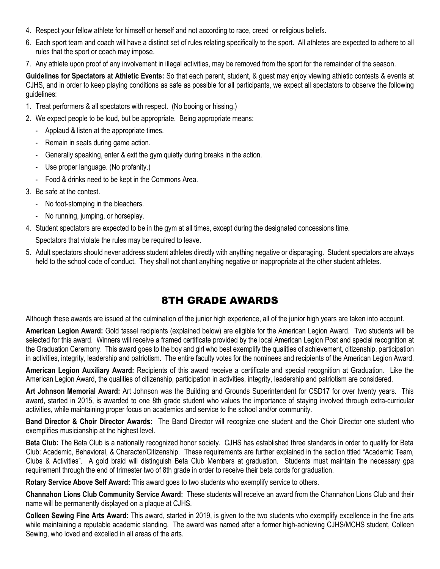- 4. Respect your fellow athlete for himself or herself and not according to race, creed or religious beliefs.
- 6. Each sport team and coach will have a distinct set of rules relating specifically to the sport. All athletes are expected to adhere to all rules that the sport or coach may impose.
- 7. Any athlete upon proof of any involvement in illegal activities, may be removed from the sport for the remainder of the season.

**Guidelines for Spectators at Athletic Events:** So that each parent, student, & guest may enjoy viewing athletic contests & events at CJHS, and in order to keep playing conditions as safe as possible for all participants, we expect all spectators to observe the following guidelines:

- 1. Treat performers & all spectators with respect. (No booing or hissing.)
- 2. We expect people to be loud, but be appropriate. Being appropriate means:
	- Applaud & listen at the appropriate times.
	- Remain in seats during game action.
	- Generally speaking, enter & exit the gym quietly during breaks in the action.
	- Use proper language. (No profanity.)
	- Food & drinks need to be kept in the Commons Area.
- 3. Be safe at the contest.
	- No foot-stomping in the bleachers.
	- No running, jumping, or horseplay.
- 4. Student spectators are expected to be in the gym at all times, except during the designated concessions time.

Spectators that violate the rules may be required to leave.

5. Adult spectators should never address student athletes directly with anything negative or disparaging. Student spectators are always held to the school code of conduct. They shall not chant anything negative or inappropriate at the other student athletes.

## 8TH GRADE AWARDS

Although these awards are issued at the culmination of the junior high experience, all of the junior high years are taken into account.

**American Legion Award:** Gold tassel recipients (explained below) are eligible for the American Legion Award. Two students will be selected for this award. Winners will receive a framed certificate provided by the local American Legion Post and special recognition at the Graduation Ceremony. This award goes to the boy and girl who best exemplify the qualities of achievement, citizenship, participation in activities, integrity, leadership and patriotism. The entire faculty votes for the nominees and recipients of the American Legion Award.

**American Legion Auxiliary Award:** Recipients of this award receive a certificate and special recognition at Graduation. Like the American Legion Award, the qualities of citizenship, participation in activities, integrity, leadership and patriotism are considered.

**Art Johnson Memorial Award:** Art Johnson was the Building and Grounds Superintendent for CSD17 for over twenty years. This award, started in 2015, is awarded to one 8th grade student who values the importance of staying involved through extra-curricular activities, while maintaining proper focus on academics and service to the school and/or community.

**Band Director & Choir Director Awards:** The Band Director will recognize one student and the Choir Director one student who exemplifies musicianship at the highest level.

**Beta Club:** The Beta Club is a nationally recognized honor society. CJHS has established three standards in order to qualify for Beta Club: Academic, Behavioral, & Character/Citizenship. These requirements are further explained in the section titled "Academic Team, Clubs & Activities". A gold braid will distinguish Beta Club Members at graduation. Students must maintain the necessary gpa requirement through the end of trimester two of 8th grade in order to receive their beta cords for graduation.

**Rotary Service Above Self Award:** This award goes to two students who exemplify service to others.

**Channahon Lions Club Community Service Award:** These students will receive an award from the Channahon Lions Club and their name will be permanently displayed on a plaque at CJHS.

**Colleen Sewing Fine Arts Award:** This award, started in 2019, is given to the two students who exemplify excellence in the fine arts while maintaining a reputable academic standing. The award was named after a former high-achieving CJHS/MCHS student, Colleen Sewing, who loved and excelled in all areas of the arts.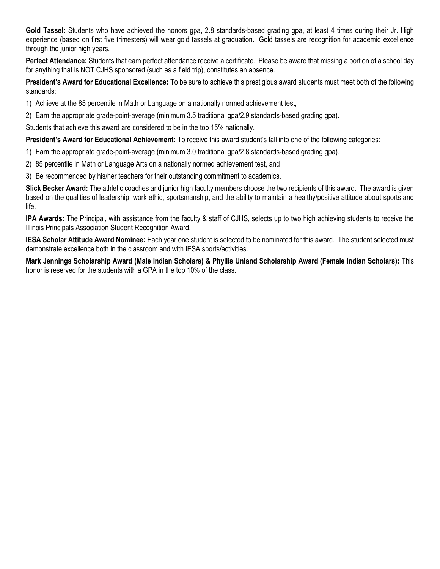**Gold Tassel:** Students who have achieved the honors gpa, 2.8 standards-based grading gpa, at least 4 times during their Jr. High experience (based on first five trimesters) will wear gold tassels at graduation. Gold tassels are recognition for academic excellence through the junior high years.

**Perfect Attendance:** Students that earn perfect attendance receive a certificate. Please be aware that missing a portion of a school day for anything that is NOT CJHS sponsored (such as a field trip), constitutes an absence.

**President's Award for Educational Excellence:** To be sure to achieve this prestigious award students must meet both of the following standards:

- 1) Achieve at the 85 percentile in Math or Language on a nationally normed achievement test,
- 2) Earn the appropriate grade-point-average (minimum 3.5 traditional gpa/2.9 standards-based grading gpa).

Students that achieve this award are considered to be in the top 15% nationally.

**President's Award for Educational Achievement:** To receive this award student's fall into one of the following categories:

- 1) Earn the appropriate grade-point-average (minimum 3.0 traditional gpa/2.8 standards-based grading gpa).
- 2) 85 percentile in Math or Language Arts on a nationally normed achievement test, and
- 3) Be recommended by his/her teachers for their outstanding commitment to academics.

**Slick Becker Award:** The athletic coaches and junior high faculty members choose the two recipients of this award. The award is given based on the qualities of leadership, work ethic, sportsmanship, and the ability to maintain a healthy/positive attitude about sports and life.

**IPA Awards:** The Principal, with assistance from the faculty & staff of CJHS, selects up to two high achieving students to receive the Illinois Principals Association Student Recognition Award.

**IESA Scholar Attitude Award Nominee:** Each year one student is selected to be nominated for this award. The student selected must demonstrate excellence both in the classroom and with IESA sports/activities.

**Mark Jennings Scholarship Award (Male Indian Scholars) & Phyllis Unland Scholarship Award (Female Indian Scholars):** This honor is reserved for the students with a GPA in the top 10% of the class.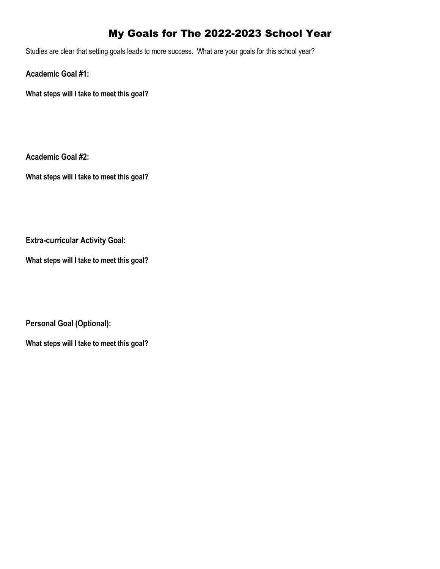# My Goals for The 2022-2023 School Year

Studies are clear that setting goals leads to more success. What are your goals for this school year?

**Academic Goal #1:**

**What steps will I take to meet this goal?**

**Academic Goal #2:**

**What steps will I take to meet this goal?**

**Extra-curricular Activity Goal:**

**What steps will I take to meet this goal?**

**Personal Goal (Optional):**

**What steps will I take to meet this goal?**